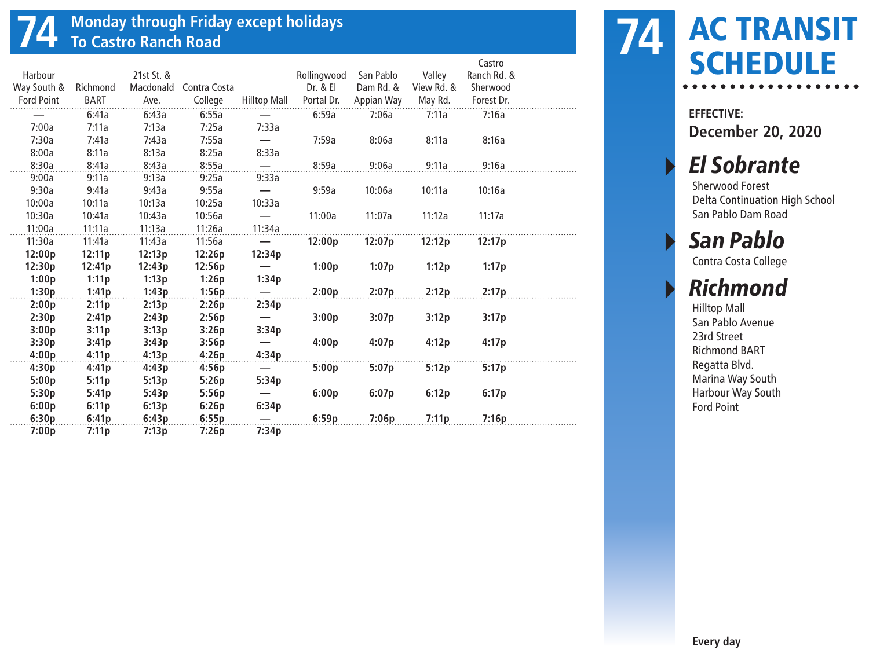# **74 Monday through Friday except holidays To Castro Ranch Road**

|                   |             |            |              |                                 |             |            |            | Castro      |  |
|-------------------|-------------|------------|--------------|---------------------------------|-------------|------------|------------|-------------|--|
| Harbour           |             | 21st St. & |              |                                 | Rollingwood | San Pablo  | Valley     | Ranch Rd. & |  |
| Way South &       | Richmond    | Macdonald  | Contra Costa |                                 | Dr. & El    | Dam Rd. &  | View Rd. & | Sherwood    |  |
| <b>Ford Point</b> | <b>BART</b> | Ave.       | College      | <b>Hilltop Mall</b>             | Portal Dr.  | Appian Way | May Rd.    | Forest Dr.  |  |
|                   | 6:41a       | 6:43a      | 6:55a        |                                 | 6:59a       | 7:06a      | 7:11a      | 7:16a       |  |
| 7:00a             | 7:11a       | 7:13a      | 7:25a        | 7:33a                           |             |            |            |             |  |
| 7:30a             | 7:41a       | 7:43a      | 7:55a        |                                 | 7:59a       | 8:06a      | 8:11a      | 8:16a       |  |
| 8:00a             | 8:11a       | 8:13a      | 8:25a        | 8:33a                           |             |            |            |             |  |
| 8:30a             | 8:41a       | 8:43a      | 8:55a        | $\overline{\phantom{0}}$        | 8:59a       | 9:06a      | 9:11a      | 9:16a       |  |
| 9:00a             | 9:11a       | 9:13a      | 9:25a        | 9:33a                           |             |            |            |             |  |
| 9:30a             | 9:41a       | 9:43a      | 9:55a        |                                 | 9:59a       | 10:06a     | 10:11a     | 10:16a      |  |
| 10:00a            | 10:11a      | 10:13a     | 10:25a       | 10:33a                          |             |            |            |             |  |
| 10:30a            | 10:41a      | 10:43a     | 10:56a       |                                 | 11:00a      | 11:07a     | 11:12a     | 11:17a      |  |
| 11:00a            | 11:11a      | 11:13a     | 11:26a       | 11:34a                          |             |            |            |             |  |
| 11:30a            | 11:41a      | 11:43a     | 11:56a       |                                 | 12:00p      | 12:07p     | 12:12p     | 12:17p      |  |
| 12:00p            | 12:11p      | 12:13p     | 12:26p       | 12:34p                          |             |            |            |             |  |
| 12:30p            | 12:41p      | 12:43p     | 12:56p       | $\qquad \qquad -$               | 1:00p       | 1:07p      | 1:12p      | 1:17p       |  |
| 1:00p             | 1:11p       | 1:13p      | 1:26p        | 1:34p                           |             |            |            |             |  |
| 1:30p             | 1:41p       | 1:43p      | 1:56p        | $\overline{\phantom{0}}$        | 2:00p       | 2:07p      | 2:12p      | 2:17p       |  |
| 2:00p             | 2:11p       | 2:13p      | 2:26p        | 2:34p                           |             |            |            |             |  |
| 2:30p             | 2:41p       | 2:43p      | 2:56p        |                                 | 3:00p       | 3:07p      | 3:12p      | 3:17p       |  |
| 3:00p             | 3:11p       | 3:13p      | 3:26p        | 3:34p                           |             |            |            |             |  |
| 3:30p             | 3:41p       | 3:43p      | 3:56p        |                                 | 4:00p       | 4:07p      | 4:12p      | 4:17p       |  |
| 4:00p             | 4:11p       | 4:13p      | 4:26p        | 4:34p                           |             |            |            |             |  |
| 4:30p             | 4:41p       | 4:43p      | 4:56p        | $\hspace{0.1mm}-\hspace{0.1mm}$ | 5:00p       | 5:07p      | 5:12p      | 5:17p       |  |
| 5:00p             | 5:11p       | 5:13p      | 5:26p        | 5:34p                           |             |            |            |             |  |
| 5:30p             | 5:41p       | 5:43p      | 5:56p        |                                 | 6:00p       | 6:07p      | 6:12p      | 6:17p       |  |
| 6:00p             | 6:11p       | 6:13p      | 6:26p        | 6:34p                           |             |            |            |             |  |
| 6:30p             | 6:41p       | 6:43p      | 6:55p        |                                 | 6:59p       | 7:06p      | 7:11p      | 7:16p       |  |
| 7:00p             | 7:11p       | 7:13p      | 7:26p        | 7:34p                           |             |            |            |             |  |

### AC TRANSIT **74 AC IKANSI**<br>SCHEDULE

**EFFECTIVE: December 20, 2020**

### **El Sobrante**

Sherwood Forest Delta Continuation High School San Pablo Dam Road

San Pablo

Contra Costa College

### **Richmond**

Hilltop Mall San Pablo Avenue 23rd Street Richmond BART Regatta Blvd. Marina Way South Harbour Way South Ford Point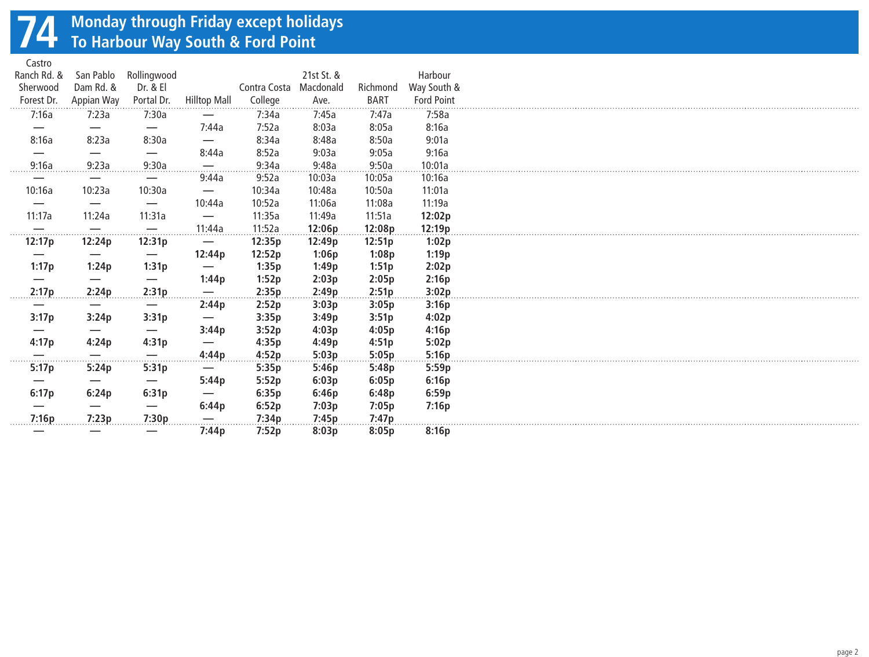# **74 Monday through Friday except holidays To Harbour Way South & Ford Point**

Castro

| casuu                         |            |                          |                          |              |            |             |                   |
|-------------------------------|------------|--------------------------|--------------------------|--------------|------------|-------------|-------------------|
| Ranch Rd. &                   | San Pablo  | Rollingwood              |                          |              | 21st St. & |             | Harbour           |
| Sherwood                      | Dam Rd. &  | Dr. & El                 |                          | Contra Costa | Macdonald  | Richmond    | Way South &       |
| Forest Dr.                    | Appian Way | Portal Dr.               | Hilltop Mall             | College      | Ave.       | <b>BART</b> | <b>Ford Point</b> |
| 7:16a                         | 7:23a      | 7:30a                    |                          | 7:34a        | 7:45a      | 7:47a       | 7:58a             |
|                               | —          | $\overline{\phantom{m}}$ | 7:44a                    | 7:52a        | 8:03a      | 8:05a       | 8:16a             |
| 8:16a                         | 8:23a      | 8:30a                    | —                        | 8:34a        | 8:48a      | 8:50a       | 9:01a             |
|                               |            | $\overline{\phantom{m}}$ | 8:44a                    | 8:52a        | 9:03a      | 9:05a       | 9:16a             |
| 9:16a                         | 9:23a      | 9:30a                    | $\overline{\phantom{0}}$ | 9:34a        | 9:48a      | 9:50a       | 10:01a            |
|                               |            | $\overline{\phantom{m}}$ | 9:44a                    | 9:52a        | 10:03a     | 10:05a      | 10:16a            |
|                               |            |                          |                          |              |            |             |                   |
| 10:16a                        | 10:23a     | 10:30a                   |                          | 10:34a       | 10:48a     | 10:50a      | 11:01a            |
|                               |            | $\overline{\phantom{m}}$ | 10:44a                   | 10:52a       | 11:06a     | 11:08a      | 11:19a            |
| 11:17a                        | 11:24a     | 11:31a                   |                          | 11:35a       | 11:49a     | 11:51a      | 12:02p            |
| $\overline{\phantom{0}}$<br>. |            |                          | <u>.11:44a </u>          | 11:52a       | 12:06p     | 12:08p      | 12:19p            |
| 12:17p                        | 12:24p     | 12:31p                   |                          | 12:35p       | 12:49p     | 12:51p      | 1:02p             |
|                               |            | $\hspace{0.05cm}$        | 12:44p                   | 12:52p       | 1:06p      | 1:08p       | 1:19p             |
| 1:17p                         | 1:24p      | 1:31p                    |                          | 1:35p        | 1:49p      | 1:51p       | 2:02p             |
|                               |            |                          | 1:44p                    | 1:52p        | 2:03p      | 2:05p       | 2:16p             |
| 2:17p                         | 2:24p      | 2:31p                    |                          | 2:35p        | 2:49p      | 2:51p       | 3:02p             |
|                               |            |                          | 2:44p                    | 2:52p        | 3:03p      | 3:05p       | 3:16p             |
| 3:17p                         | 3:24p      | 3:31p                    | —                        | 3:35p        | 3:49p      | 3:51p       | 4:02p             |
|                               |            |                          | 3:44p                    | 3:52p        | 4:03p      | 4:05p       | 4:16p             |
| 4:17p                         | 4:24p      | 4:31p                    |                          | 4:35p        | 4:49p      | 4:51p       | 5:02p             |
|                               |            | $\overline{\phantom{m}}$ | 4:44p                    | 4:52p        | 5:03p      | 5:05p       | 5:16p             |
| .<br>5:17p                    | .<br>5:24p | 5:31p                    | $\overline{\phantom{m}}$ | 5:35p        | 5:46p      | 5:48p       | 5:59p             |
|                               |            |                          |                          |              |            |             |                   |
|                               |            |                          | 5:44p                    | 5:52p        | 6:03p      | 6:05p       | 6:16p             |
| 6:17p                         | 6:24p      | 6:31p                    |                          | 6:35p        | 6:46p      | 6:48p       | 6:59p             |
|                               |            |                          | 6:44p                    | 6:52p        | 7:03p      | 7:05p       | 7:16p             |
| 7:16p                         | 7:23p      | 7:30p                    |                          | 7:34p        | 7:45p      | 7:47p       |                   |
|                               |            |                          | 7:44p                    | 7:52p        | 8:03p      | 8:05p       | 8:16p             |
|                               |            |                          |                          |              |            |             |                   |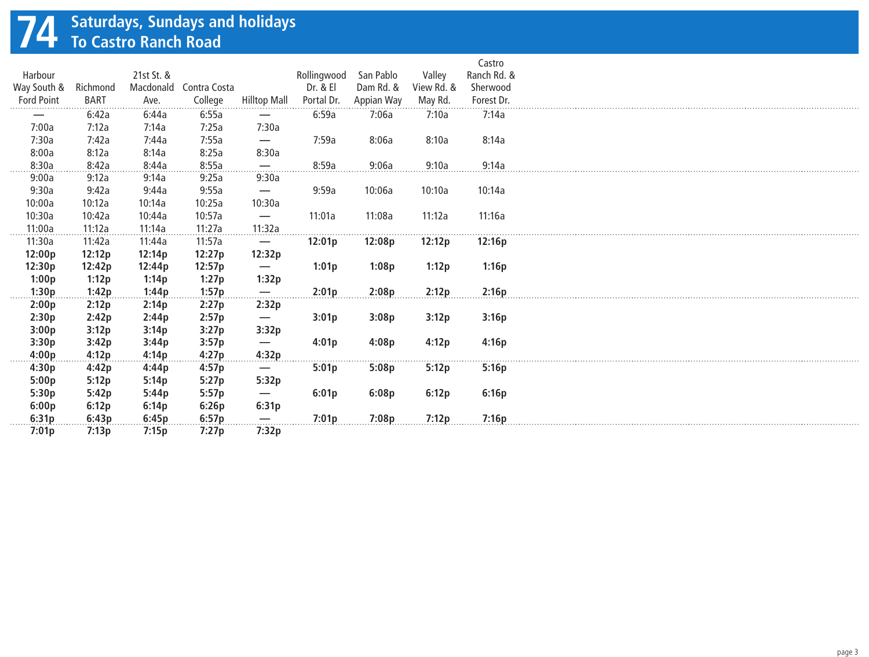# **74 Saturdays, Sundays and holidays To Castro Ranch Road**

|                   |             |            |                        |                               |             |            |            | Castro      |
|-------------------|-------------|------------|------------------------|-------------------------------|-------------|------------|------------|-------------|
| Harbour           |             | 21st St. & |                        |                               | Rollingwood | San Pablo  | Valley     | Ranch Rd. & |
| Way South &       | Richmond    |            | Macdonald Contra Costa |                               | Dr. & El    | Dam Rd. &  | View Rd. & | Sherwood    |
| <b>Ford Point</b> | <b>BART</b> | Ave.       | College                | <b>Hilltop Mall</b>           | Portal Dr.  | Appian Way | May Rd.    | Forest Dr.  |
|                   | 6:42a       | 6:44a      | 6:55a                  |                               | 6:59a       | 7:06a      | 7:10a      | 7:14a       |
| 7:00a             | 7:12a       | 7:14a      | 7:25a                  | 7:30a                         |             |            |            |             |
| 7:30a             | 7:42a       | 7:44a      | 7:55a                  | $\overline{\phantom{m}}$      | 7:59a       | 8:06a      | 8:10a      | 8:14a       |
| 8:00a             | 8:12a       | 8:14a      | 8:25a                  | 8:30a                         |             |            |            |             |
| 8:30a             | 8:42a       | 8:44a      | 8:55a                  | $\overline{\phantom{m}}$      | 8:59a       | 9:06a      | 9:10a      | 9:14a       |
| 9:00a             | 9:12a       | 9:14a      | 9:25a                  | 9:30a                         |             |            |            |             |
| 9:30a             | 9:42a       | 9:44a      | 9:55a                  | $\overline{\phantom{m}}$      | 9:59a       | 10:06a     | 10:10a     | 10:14a      |
| 10:00a            | 10:12a      | 10:14a     | 10:25a                 | 10:30a                        |             |            |            |             |
| 10:30a            | 10:42a      | 10:44a     | 10:57a                 | $\overline{\phantom{m}}$      | 11:01a      | 11:08a     | 11:12a     | 11:16a      |
| 11:00a            | 11:12a      | 11:14a     | 11:27a                 | 11:32a                        |             |            |            |             |
| 11:30a            | 11:42a      | 11:44a     | 11:57a                 |                               | 12:01p      | 12:08p     | 12:12p     | 12:16p      |
| 12:00p            | 12:12p      | 12:14p     | 12:27p                 | 12:32p                        |             |            |            |             |
| 12:30p            | 12:42p      | 12:44p     | 12:57p                 |                               | 1:01p       | 1:08p      | 1:12p      | 1:16p       |
| 1:00p             | 1:12p       | 1:14p      | 1:27p                  | 1:32p                         |             |            |            |             |
| 1:30p             | 1:42p       | 1:44p      | 1:57p                  | $\hspace{0.05cm}$             | 2:01p       | 2:08p      | 2:12p      | 2:16p       |
| 2:00p             | 2:12p       | 2:14p      | 2:27p                  | 2:32p                         |             |            |            |             |
| 2:30p             | 2:42p       | 2:44p      | 2:57p                  | $\overline{\phantom{m}}$      | 3:01p       | 3:08p      | 3:12p      | 3:16p       |
| 3:00p             | 3:12p       | 3:14p      | 3:27p                  | 3:32p                         |             |            |            |             |
| 3:30p             | 3:42p       | 3:44p      | 3:57p                  | $\overbrace{\phantom{13333}}$ | 4:01p       | 4:08p      | 4:12p      | 4:16p       |
| 4:00p             | 4:12p       | 4:14p      | 4:27p                  | 4:32p                         |             |            |            |             |
| 4:30p             | 4:42p       | 4:44p      | 4:57p                  | $\overbrace{\phantom{13333}}$ | 5:01p       | 5:08p      | 5:12p      | 5:16p       |
| 5:00p             | 5:12p       | 5:14p      | 5:27p                  | 5:32p                         |             |            |            |             |
| 5:30p             | 5:42p       | 5:44p      | 5:57p                  |                               | 6:01p       | 6:08p      | 6:12p      | 6:16p       |
| 6:00p             | 6:12p       | 6:14p      | 6:26p                  | 6:31p                         |             |            |            |             |
| 6:31p             | 6:43p       | 6:45p      | 6:57p                  |                               | 7:01p       | 7:08p      | 7:12p      | 7:16p       |
| 7:01p             | 7:13p       | 7:15p      | 7:27p                  | 7:32p                         |             |            |            |             |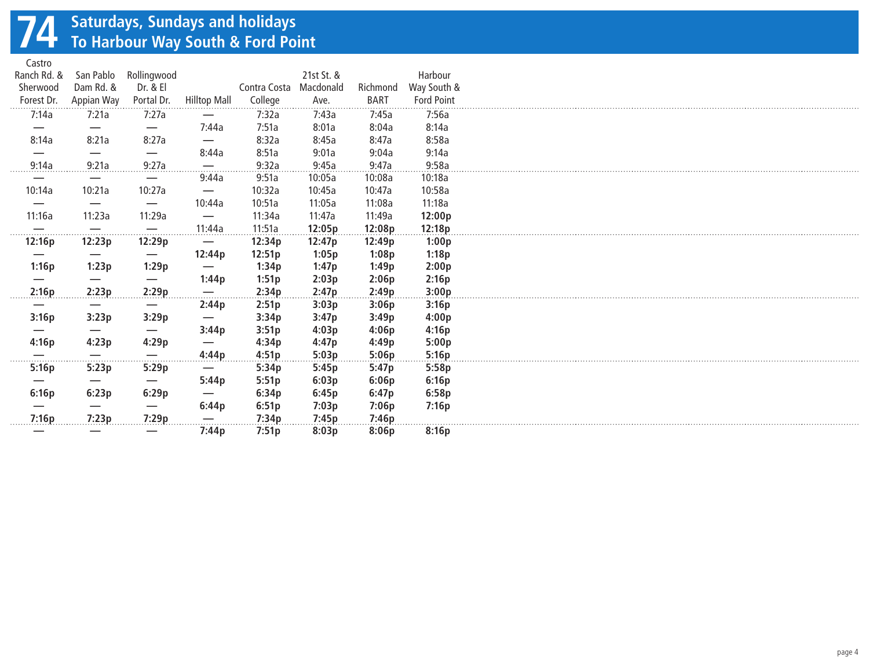# **74 Saturdays, Sundays and holidays To Harbour Way South & Ford Point**

Castro

| Casuu       |              |                          |                          |                        |                       |                  |                   |
|-------------|--------------|--------------------------|--------------------------|------------------------|-----------------------|------------------|-------------------|
| Ranch Rd. & | San Pablo    | Rollingwood              |                          |                        | 21st St. &            |                  | Harbour           |
| Sherwood    | Dam Rd. &    | Dr. & El                 |                          | Contra Costa Macdonald |                       | Richmond         | Way South &       |
| Forest Dr.  | Appian Way   | Portal Dr.               | <b>Hilltop Mall</b>      | College                | Ave.                  | <b>BART</b>      | <b>Ford Point</b> |
| 7:14a       | 7:21a        | 7:27a                    |                          | 7:32a                  | . <b>.</b> .<br>7:43a | 7:45a            | 7:56a             |
|             |              |                          | 7:44a                    | 7:51a                  | 8:01a                 | 8:04a            | 8:14a             |
| 8:14a       | 8:21a        | 8:27a                    |                          | 8:32a                  | 8:45a                 | 8:47a            | 8:58a             |
|             |              | $\overline{\phantom{m}}$ | 8:44a                    | 8:51a                  | 9:01a                 | 9:04a            | 9:14a             |
| 9:14a       | 9:21a        | 9:27a                    |                          | 9:32a                  | 9:45a                 | 9:47a            | 9:58a             |
|             |              |                          | 9:44a                    | 9:51a                  | 10:05a                | 10:08a           | 10:18a            |
| 10:14a      | 10:21a       | 10:27a                   | —                        | 10:32a                 | 10:45a                | 10:47a           | 10:58a            |
|             |              | $\overline{\phantom{m}}$ | 10:44a                   | 10:51a                 | 11:05a                | 11:08a           | 11:18a            |
| 11:16a      | 11:23a       | 11:29a                   |                          | 11:34a                 | 11:47a                | 11:49a           | 12:00p            |
|             |              |                          |                          | 11:51a                 | 12:05p                |                  | 12:18p            |
| .<br>12:16p | .<br>12:23p  | 12:29p                   | .11:44a                  | 12:34p                 | 12:47p                | 12:08p<br>12:49p | 1:00p             |
|             |              |                          | 12:44p                   |                        |                       |                  |                   |
|             |              |                          |                          | 12:51p                 | 1:05p                 | 1:08p            | 1:18p             |
| 1:16p       | 1:23p        | 1:29p                    | $\overline{\phantom{0}}$ | 1:34p                  | 1:47p                 | 1:49p            | 2:00p             |
|             |              |                          | 1:44p                    | 1:51p                  | 2:03p                 | 2:06p            | 2:16p             |
| 2:16p       | 2:23p        | 2:29p                    |                          | 2:34p                  | 2:47p                 | 2:49p            | 3:00p             |
|             |              | $\overline{\phantom{m}}$ | 2:44p                    | 2:51p                  | 3:03p                 | 3:06p            | 3:16p             |
| 3:16p       | 3:23p        | 3:29p                    |                          | 3:34p                  | 3:47p                 | 3:49p            | 4:00p             |
|             |              |                          | 3:44p                    | 3:51p                  | 4:03p                 | 4:06p            | 4:16p             |
| 4:16p       | 4:23p        | 4:29p                    |                          | 4:34p                  | 4:47p                 | 4:49p            | 5:00p             |
| .           | .            | .                        | 4:44p                    | 4:51p                  | 5:03p                 | 5:06p            | 5:16p             |
| 5:16p       | 5:23p        | 5:29p                    | $\overline{\phantom{m}}$ | 5:34p                  | 5:45p                 | 5:47p            | 5:58p             |
|             |              |                          | 5:44p                    | 5:51p                  | 6:03p                 | 6:06p            | 6:16p             |
| 6:16p       | 6:23p        | 6:29p                    |                          | 6:34p                  | 6:45p                 | 6:47p            | 6:58p             |
|             |              |                          | 6:44p                    | 6:51p                  | 7:03p                 | 7:06p            | 7:16p             |
| 7:16p       | 7:23p        | 7:29p                    |                          | 7:34p                  | 7:45p                 | 7:46p            |                   |
|             | . <b>.</b> . |                          | 7:44p                    | 7:51p                  | 8:03p                 | 8:06p            | 8:16p             |
|             |              |                          |                          |                        |                       |                  |                   |